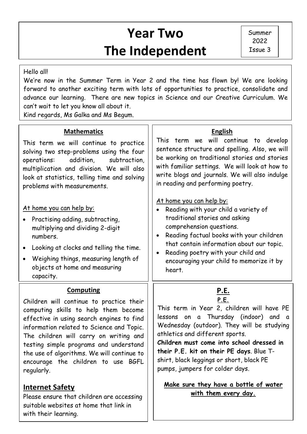# **Year Two The Independent**

#### Hello all!

 forward to another exciting term with lots of opportunities to practice, consolidate and We're now in the Summer Term in Year 2 and the time has flown by! We are looking advance our learning. There are new topics in Science and our Creative Curriculum. We can't wait to let you know all about it.

Kind regards, Ms Galka and Ms Begum.

### **Mathematics**

This term we will continue to practice solving two step-problems using the four operations: addition, subtraction, multiplication and division. We will also look at statistics, telling time and solving problems with measurements.

#### At home you can help by:

- Practising adding, subtracting, multiplying and dividing 2-digit numbers.
- Looking at clocks and telling the time.
- Weighing things, measuring length of objects at home and measuring capacity.

#### **Computing**

Children will continue to practice their computing skills to help them become effective in using search engines to find information related to Science and Topic. The children will carry on writing and testing simple programs and understand the use of algorithms. We will continue to encourage the children to use BGFL regularly.

### **Internet Safety**

Please ensure that children are accessing suitable websites at home that link in with their learning.

#### **English**

This term we will continue to develop sentence structure and spelling. Also, we will be working on traditional stories and stories with familiar settings. We will look at how to write blogs and journals. We will also indulge in reading and performing poetry.

#### At home you can help by:

- Reading with your child a variety of traditional stories and asking comprehension questions.
- Reading factual books with your children that contain information about our topic.
- Reading poetry with your child and encouraging your child to memorize it by heart.

#### **P.E. P.E.**

This term in Year 2, children will have PE lessons on a Thursday (indoor) and a Wednesday (outdoor). They will be studying athletics and different sports.

**Children must come into school dressed in their P.E. kit on their PE days**. Blue Tshirt, black leggings or short, black PE pumps, jumpers for colder days.

#### **Make sure they have a bottle of water with them every day.**